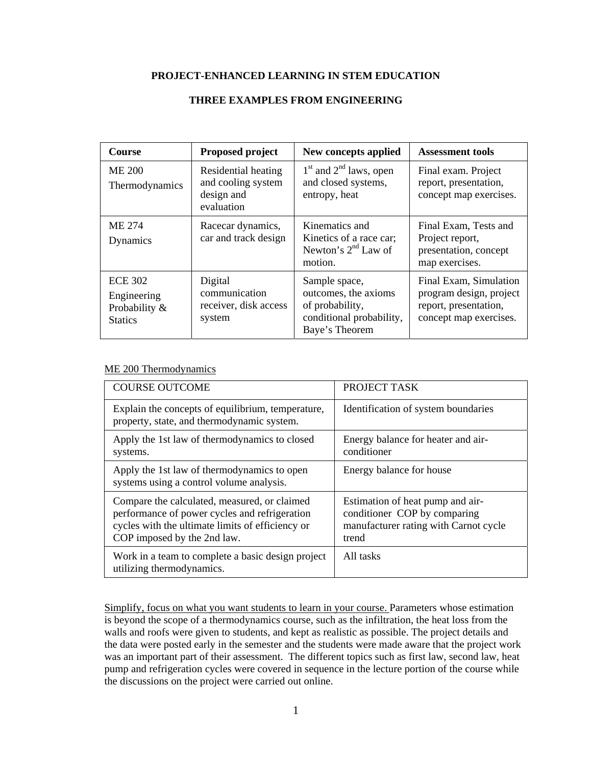#### **PROJECT-ENHANCED LEARNING IN STEM EDUCATION**

| <b>Course</b>                                                    | <b>Proposed project</b>                                               | New concepts applied                                                                                   | <b>Assessment tools</b>                                                                              |
|------------------------------------------------------------------|-----------------------------------------------------------------------|--------------------------------------------------------------------------------------------------------|------------------------------------------------------------------------------------------------------|
| <b>ME 200</b><br>Thermodynamics                                  | Residential heating<br>and cooling system<br>design and<br>evaluation | $1st$ and $2nd$ laws, open<br>and closed systems,<br>entropy, heat                                     | Final exam. Project<br>report, presentation,<br>concept map exercises.                               |
| ME 274<br>Dynamics                                               | Racecar dynamics,<br>car and track design                             | Kinematics and<br>Kinetics of a race car;<br>Newton's $2nd$ Law of<br>motion.                          | Final Exam, Tests and<br>Project report,<br>presentation, concept<br>map exercises.                  |
| <b>ECE 302</b><br>Engineering<br>Probability &<br><b>Statics</b> | Digital<br>communication<br>receiver, disk access<br>system           | Sample space,<br>outcomes, the axioms<br>of probability,<br>conditional probability,<br>Baye's Theorem | Final Exam, Simulation<br>program design, project<br>report, presentation,<br>concept map exercises. |

#### **THREE EXAMPLES FROM ENGINEERING**

### ME 200 Thermodynamics

| <b>COURSE OUTCOME</b>                                                                                                                                                            | PROJECT TASK                                                                                                       |
|----------------------------------------------------------------------------------------------------------------------------------------------------------------------------------|--------------------------------------------------------------------------------------------------------------------|
| Explain the concepts of equilibrium, temperature,<br>property, state, and thermodynamic system.                                                                                  | Identification of system boundaries                                                                                |
| Apply the 1st law of thermodynamics to closed<br>systems.                                                                                                                        | Energy balance for heater and air-<br>conditioner                                                                  |
| Apply the 1st law of thermodynamics to open<br>systems using a control volume analysis.                                                                                          | Energy balance for house                                                                                           |
| Compare the calculated, measured, or claimed<br>performance of power cycles and refrigeration<br>cycles with the ultimate limits of efficiency or<br>COP imposed by the 2nd law. | Estimation of heat pump and air-<br>conditioner COP by comparing<br>manufacturer rating with Carnot cycle<br>trend |
| Work in a team to complete a basic design project<br>utilizing thermodynamics.                                                                                                   | All tasks                                                                                                          |

Simplify, focus on what you want students to learn in your course. Parameters whose estimation is beyond the scope of a thermodynamics course, such as the infiltration, the heat loss from the walls and roofs were given to students, and kept as realistic as possible. The project details and the data were posted early in the semester and the students were made aware that the project work was an important part of their assessment. The different topics such as first law, second law, heat pump and refrigeration cycles were covered in sequence in the lecture portion of the course while the discussions on the project were carried out online.